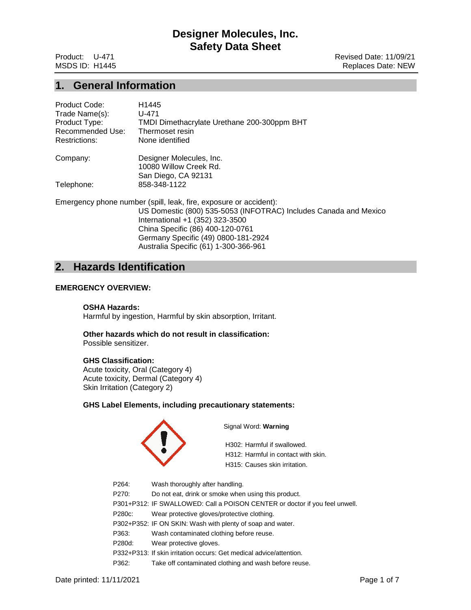Product: U-471 **Product: U-471** MSDS ID: H1445 Replaces Date: NEW

## **1. General Information**

| Product Code:    | H1445                                                             |
|------------------|-------------------------------------------------------------------|
| Trade Name(s):   | U-471                                                             |
| Product Type:    | TMDI Dimethacrylate Urethane 200-300ppm BHT                       |
| Recommended Use: | Thermoset resin                                                   |
| Restrictions:    | None identified                                                   |
| Company:         | Designer Molecules, Inc.                                          |
|                  | 10080 Willow Creek Rd.                                            |
|                  | San Diego, CA 92131                                               |
| Telephone:       | 858-348-1122                                                      |
|                  | Emergency phone number (spill, leak, fire, exposure or accident): |
|                  | US Domestic (800) 535-5053 (INFOTRAC) Includes Canada and Mexico  |
|                  | International +1 (352) 323-3500                                   |
|                  | China Specific (86) 400-120-0761                                  |
|                  | Germany Specific (49) 0800-181-2924                               |

Australia Specific (61) 1-300-366-961

# **2. Hazards Identification**

## **EMERGENCY OVERVIEW:**

## **OSHA Hazards:**

Harmful by ingestion, Harmful by skin absorption, Irritant.

**Other hazards which do not result in classification:** Possible sensitizer.

## **GHS Classification:**

Acute toxicity, Oral (Category 4) Acute toxicity, Dermal (Category 4) Skin Irritation (Category 2)

## **GHS Label Elements, including precautionary statements:**



Signal Word: **Warning**

H302: Harmful if swallowed. H312: Harmful in contact with skin. H315: Causes skin irritation.

P264: Wash thoroughly after handling. P270: Do not eat, drink or smoke when using this product. P301+P312: IF SWALLOWED: Call a POISON CENTER or doctor if you feel unwell. P280c: Wear protective gloves/protective clothing. P302+P352: IF ON SKIN: Wash with plenty of soap and water. P363: Wash contaminated clothing before reuse. P280d: Wear protective gloves. P332+P313: If skin irritation occurs: Get medical advice/attention. P362: Take off contaminated clothing and wash before reuse.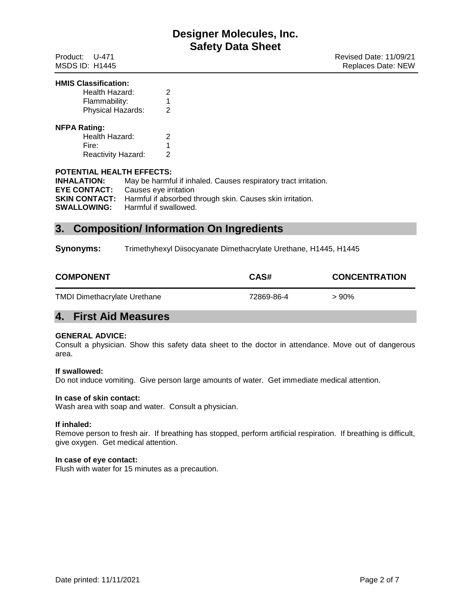#### **HMIS Classification:**

| Health Hazard:                                                       | 2           |  |
|----------------------------------------------------------------------|-------------|--|
| Flammability:                                                        | 1           |  |
| Physical Hazards:                                                    | 2           |  |
| <b>NFPA Rating:</b><br>Health Hazard:<br>Fire:<br>Reactivity Hazard: | 2<br>1<br>2 |  |

## **POTENTIAL HEALTH EFFECTS:**

| <b>INHALATION:</b>  | May be harmful if inhaled. Causes respiratory tract irritation.                |
|---------------------|--------------------------------------------------------------------------------|
| <b>EYE CONTACT:</b> | Causes eye irritation                                                          |
|                     | <b>SKIN CONTACT:</b> Harmful if absorbed through skin. Causes skin irritation. |
|                     | <b>SWALLOWING:</b> Harmful if swallowed.                                       |

# **3. Composition/ Information On Ingredients**

**Synonyms:** Trimethyhexyl Diisocyanate Dimethacrylate Urethane, H1445, H1445

| <b>COMPONENT</b>                    | CAS#       | <b>CONCENTRATION</b> |
|-------------------------------------|------------|----------------------|
| <b>TMDI Dimethacrylate Urethane</b> | 72869-86-4 | $>90\%$              |

# **4. First Aid Measures**

## **GENERAL ADVICE:**

Consult a physician. Show this safety data sheet to the doctor in attendance. Move out of dangerous area.

## **If swallowed:**

Do not induce vomiting. Give person large amounts of water. Get immediate medical attention.

## **In case of skin contact:**

Wash area with soap and water. Consult a physician.

## **If inhaled:**

Remove person to fresh air. If breathing has stopped, perform artificial respiration. If breathing is difficult, give oxygen. Get medical attention.

### **In case of eye contact:**

Flush with water for 15 minutes as a precaution.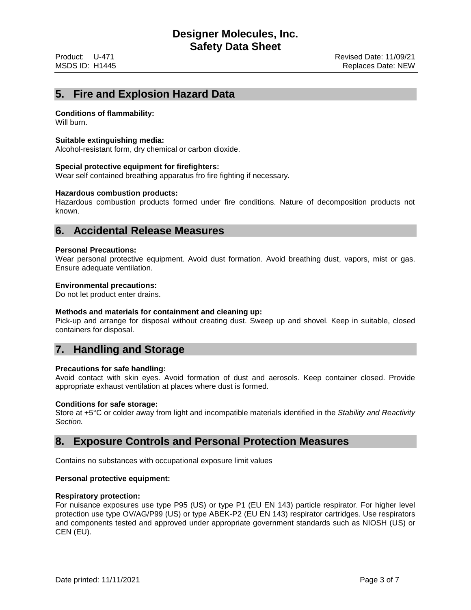# **5. Fire and Explosion Hazard Data**

## **Conditions of flammability:**

Will burn.

## **Suitable extinguishing media:**

Alcohol-resistant form, dry chemical or carbon dioxide.

### **Special protective equipment for firefighters:**

Wear self contained breathing apparatus fro fire fighting if necessary.

### **Hazardous combustion products:**

Hazardous combustion products formed under fire conditions. Nature of decomposition products not known.

## **6. Accidental Release Measures**

### **Personal Precautions:**

Wear personal protective equipment. Avoid dust formation. Avoid breathing dust, vapors, mist or gas. Ensure adequate ventilation.

## **Environmental precautions:**

Do not let product enter drains.

### **Methods and materials for containment and cleaning up:**

Pick-up and arrange for disposal without creating dust. Sweep up and shovel. Keep in suitable, closed containers for disposal.

# **7. Handling and Storage**

### **Precautions for safe handling:**

Avoid contact with skin eyes. Avoid formation of dust and aerosols. Keep container closed. Provide appropriate exhaust ventilation at places where dust is formed.

### **Conditions for safe storage:**

Store at +5°C or colder away from light and incompatible materials identified in the *Stability and Reactivity Section.*

## **8. Exposure Controls and Personal Protection Measures**

Contains no substances with occupational exposure limit values

## **Personal protective equipment:**

## **Respiratory protection:**

For nuisance exposures use type P95 (US) or type P1 (EU EN 143) particle respirator. For higher level protection use type OV/AG/P99 (US) or type ABEK-P2 (EU EN 143) respirator cartridges. Use respirators and components tested and approved under appropriate government standards such as NIOSH (US) or CEN (EU).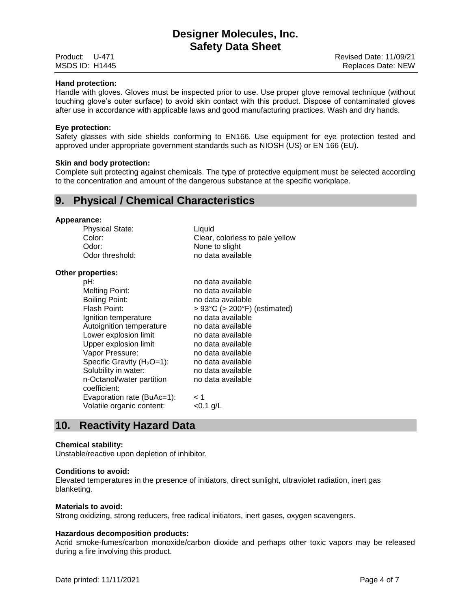### **Hand protection:**

Handle with gloves. Gloves must be inspected prior to use. Use proper glove removal technique (without touching glove's outer surface) to avoid skin contact with this product. Dispose of contaminated gloves after use in accordance with applicable laws and good manufacturing practices. Wash and dry hands.

#### **Eye protection:**

Safety glasses with side shields conforming to EN166. Use equipment for eye protection tested and approved under appropriate government standards such as NIOSH (US) or EN 166 (EU).

#### **Skin and body protection:**

Complete suit protecting against chemicals. The type of protective equipment must be selected according to the concentration and amount of the dangerous substance at the specific workplace.

## **9. Physical / Chemical Characteristics**

## **Appearance:**

Physical State: Liquid Color: Clear, colorless to pale yellow Odor: <br>
Odor threshold: 
None to slight<br>
no data availa no data available

#### **Other properties:**

| pH:                          | no data available                                 |
|------------------------------|---------------------------------------------------|
| Melting Point:               | no data available                                 |
| Boiling Point:               | no data available                                 |
| Flash Point:                 | $> 93^{\circ}$ C ( $> 200^{\circ}$ F) (estimated) |
| Ignition temperature         | no data available                                 |
| Autoignition temperature     | no data available                                 |
| Lower explosion limit        | no data available                                 |
| Upper explosion limit        | no data available                                 |
| Vapor Pressure:              | no data available                                 |
| Specific Gravity $(H2O=1)$ : | no data available                                 |
| Solubility in water:         | no data available                                 |
| n-Octanol/water partition    | no data available                                 |
| coefficient:                 |                                                   |
| Evaporation rate (BuAc=1):   | < 1                                               |
| Volatile organic content:    | <0.1 g/L                                          |
|                              |                                                   |

## **10. Reactivity Hazard Data**

### **Chemical stability:**

Unstable/reactive upon depletion of inhibitor.

#### **Conditions to avoid:**

Elevated temperatures in the presence of initiators, direct sunlight, ultraviolet radiation, inert gas blanketing.

#### **Materials to avoid:**

Strong oxidizing, strong reducers, free radical initiators, inert gases, oxygen scavengers.

## **Hazardous decomposition products:**

Acrid smoke-fumes/carbon monoxide/carbon dioxide and perhaps other toxic vapors may be released during a fire involving this product.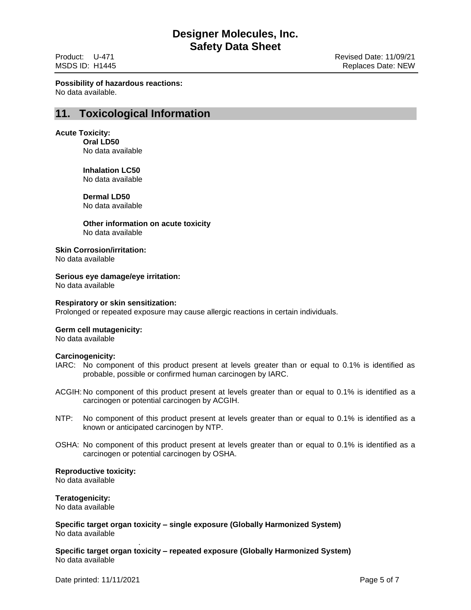**Possibility of hazardous reactions:** No data available.

## **11. Toxicological Information**

## **Acute Toxicity:**

**Oral LD50** No data available

**Inhalation LC50** No data available

**Dermal LD50**

No data available

**Other information on acute toxicity** No data available

**Skin Corrosion/irritation:**

No data available

## **Serious eye damage/eye irritation:**

No data available

## **Respiratory or skin sensitization:**

Prolonged or repeated exposure may cause allergic reactions in certain individuals.

## **Germ cell mutagenicity:**

No data available

## **Carcinogenicity:**

- IARC: No component of this product present at levels greater than or equal to 0.1% is identified as probable, possible or confirmed human carcinogen by IARC.
- ACGIH: No component of this product present at levels greater than or equal to 0.1% is identified as a carcinogen or potential carcinogen by ACGIH.
- NTP: No component of this product present at levels greater than or equal to 0.1% is identified as a known or anticipated carcinogen by NTP.
- OSHA: No component of this product present at levels greater than or equal to 0.1% is identified as a carcinogen or potential carcinogen by OSHA.

**Reproductive toxicity:**

No data available

**Teratogenicity:**

No data available

**Specific target organ toxicity – single exposure (Globally Harmonized System)** No data available

**Specific target organ toxicity – repeated exposure (Globally Harmonized System)** No data available

.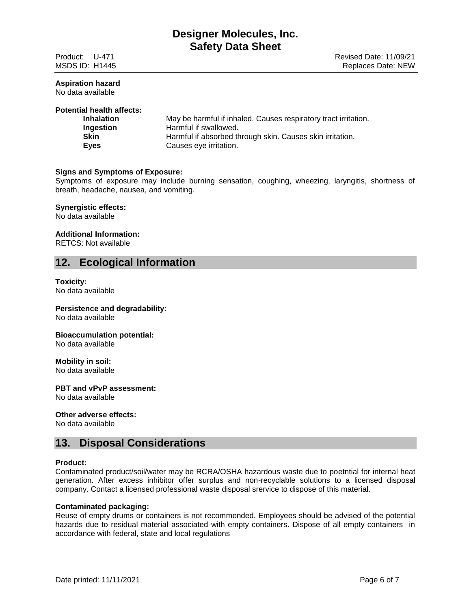## **Aspiration hazard**

No data available

## **Potential health affects:**

| <b>Inhalation</b> | May be harmful if inhaled. Causes respiratory tract irritation. |
|-------------------|-----------------------------------------------------------------|
| Ingestion         | Harmful if swallowed.                                           |
| <b>Skin</b>       | Harmful if absorbed through skin. Causes skin irritation.       |
| Eyes              | Causes eye irritation.                                          |

## **Signs and Symptoms of Exposure:**

Symptoms of exposure may include burning sensation, coughing, wheezing, laryngitis, shortness of breath, headache, nausea, and vomiting.

### **Synergistic effects:**

No data available

## **Additional Information:**

RETCS: Not available

## **12. Ecological Information**

## **Toxicity:**

No data available

# **Persistence and degradability:**

No data available

## **Bioaccumulation potential:**

No data available

## **Mobility in soil:**

No data available

## **PBT and vPvP assessment:**

No data available

### **Other adverse effects:**

No data available

## **13. Disposal Considerations**

### **Product:**

Contaminated product/soil/water may be RCRA/OSHA hazardous waste due to poetntial for internal heat generation. After excess inhibitor offer surplus and non-recyclable solutions to a licensed disposal company. Contact a licensed professional waste disposal srervice to dispose of this material.

## **Contaminated packaging:**

Reuse of empty drums or containers is not recommended. Employees should be advised of the potential hazards due to residual material associated with empty containers. Dispose of all empty containers in accordance with federal, state and local regulations